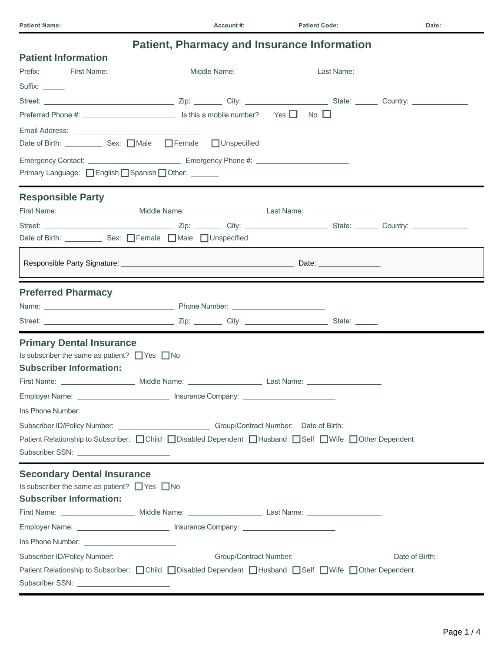| <b>Patient, Pharmacy and Insurance Information</b>                                                                    |  |  |  |  |  |
|-----------------------------------------------------------------------------------------------------------------------|--|--|--|--|--|
| <b>Patient Information</b>                                                                                            |  |  |  |  |  |
|                                                                                                                       |  |  |  |  |  |
| Suffix: ______                                                                                                        |  |  |  |  |  |
|                                                                                                                       |  |  |  |  |  |
| Preferred Phone #: $\Box$ Is this a mobile number? Yes $\Box$ No $\Box$                                               |  |  |  |  |  |
|                                                                                                                       |  |  |  |  |  |
| Date of Birth: _____________ Sex: □ Male □ Female □ Unspecified                                                       |  |  |  |  |  |
|                                                                                                                       |  |  |  |  |  |
| Primary Language: □ English □ Spanish □ Other: ______                                                                 |  |  |  |  |  |
| <b>Responsible Party</b>                                                                                              |  |  |  |  |  |
|                                                                                                                       |  |  |  |  |  |
|                                                                                                                       |  |  |  |  |  |
|                                                                                                                       |  |  |  |  |  |
|                                                                                                                       |  |  |  |  |  |
| <b>Preferred Pharmacy</b>                                                                                             |  |  |  |  |  |
|                                                                                                                       |  |  |  |  |  |
|                                                                                                                       |  |  |  |  |  |
| <b>Primary Dental Insurance</b>                                                                                       |  |  |  |  |  |
| Is subscriber the same as patient? $\Box$ Yes $\Box$ No                                                               |  |  |  |  |  |
| <b>Subscriber Information:</b>                                                                                        |  |  |  |  |  |
|                                                                                                                       |  |  |  |  |  |
| Employer Name: _______________________________ Insurance Company: _______________                                     |  |  |  |  |  |
|                                                                                                                       |  |  |  |  |  |
|                                                                                                                       |  |  |  |  |  |
| Patient Relationship to Subscriber: Child Obisabled Dependent Full Husband Eself El Wife For Dependent                |  |  |  |  |  |
|                                                                                                                       |  |  |  |  |  |
| <b>Secondary Dental Insurance</b>                                                                                     |  |  |  |  |  |
| Is subscriber the same as patient? $\Box$ Yes $\Box$ No                                                               |  |  |  |  |  |
| <b>Subscriber Information:</b>                                                                                        |  |  |  |  |  |
| First Name: <u>________________________</u> Middle Name: __________________________Last Name: _______________________ |  |  |  |  |  |
| Employer Name: _________________________________ Insurance Company: _______________________________                   |  |  |  |  |  |
|                                                                                                                       |  |  |  |  |  |
|                                                                                                                       |  |  |  |  |  |
| Patient Relationship to Subscriber: Ochild Obisabled Dependent OHusband OSelf OWife OOther Dependent                  |  |  |  |  |  |
|                                                                                                                       |  |  |  |  |  |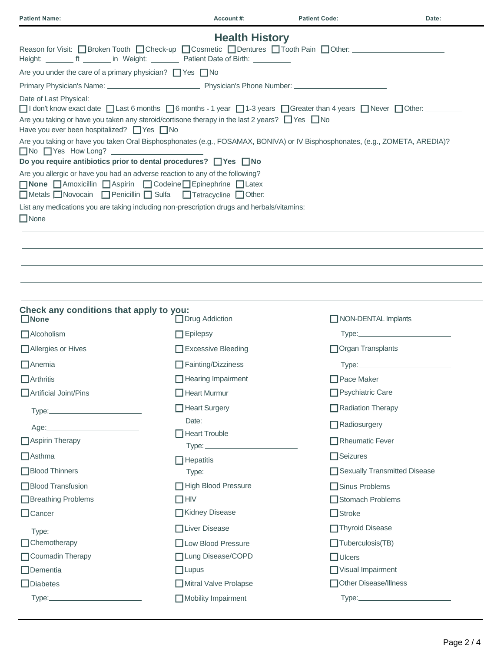| <b>Patient Name:</b>                                                                                                                                                                                                                                                                       | Account#:                          | <b>Patient Code:</b>         | Date: |
|--------------------------------------------------------------------------------------------------------------------------------------------------------------------------------------------------------------------------------------------------------------------------------------------|------------------------------------|------------------------------|-------|
|                                                                                                                                                                                                                                                                                            | <b>Health History</b>              |                              |       |
| Reason for Visit: □ Broken Tooth □ Check-up □ Cosmetic □ Dentures □ Tooth Pain □ Other: □<br>Height: __________ ft _________ in Weight: ___________ Patient Date of Birth: ___________                                                                                                     |                                    |                              |       |
| Are you under the care of a primary physician? $\Box$ Yes $\Box$ No                                                                                                                                                                                                                        |                                    |                              |       |
|                                                                                                                                                                                                                                                                                            |                                    |                              |       |
| Date of Last Physical:<br>$\Box$ I don't know exact date $\Box$ Last 6 months $\Box$ 6 months - 1 year $\Box$ 1-3 years $\Box$ Greater than 4 years $\Box$ Never $\Box$ Other:<br>Are you taking or have you taken any steroid/cortisone therapy in the last 2 years? $\Box$ Yes $\Box$ No |                                    |                              |       |
| Have you ever been hospitalized? □ Yes □ No                                                                                                                                                                                                                                                |                                    |                              |       |
| Are you taking or have you taken Oral Bisphosphonates (e.g., FOSAMAX, BONIVA) or IV Bisphosphonates, (e.g., ZOMETA, AREDIA)?<br>$\Box$ No $\Box$ Yes How Long?<br>Do you require antibiotics prior to dental procedures? □ Yes □ No                                                        |                                    |                              |       |
| Are you allergic or have you had an adverse reaction to any of the following?<br>■ None Amoxicillin Aspirin ■ Codeine Epinephrine BLatex<br>□Metals □ Novocain □ Penicillin □ Sulfa □ Tetracycline □ Other: ________________                                                               |                                    |                              |       |
| List any medications you are taking including non-prescription drugs and herbals/vitamins:<br>$\Box$ None                                                                                                                                                                                  |                                    |                              |       |
|                                                                                                                                                                                                                                                                                            |                                    |                              |       |
|                                                                                                                                                                                                                                                                                            |                                    |                              |       |
|                                                                                                                                                                                                                                                                                            |                                    |                              |       |
|                                                                                                                                                                                                                                                                                            |                                    |                              |       |
|                                                                                                                                                                                                                                                                                            |                                    |                              |       |
| Check any conditions that apply to you:<br>$\Box$ None                                                                                                                                                                                                                                     | □ Drug Addiction                   | NON-DENTAL Implants          |       |
| $\Box$ Alcoholism                                                                                                                                                                                                                                                                          | $\Box$ Epilepsy                    |                              |       |
| Allergies or Hives                                                                                                                                                                                                                                                                         | $\Box$ Excessive Bleeding          | Organ Transplants            |       |
| $\Box$ Anemia                                                                                                                                                                                                                                                                              | $\Box$ Fainting/Dizziness          |                              |       |
| $\Box$ Arthritis                                                                                                                                                                                                                                                                           | $\Box$ Hearing Impairment          | $\Box$ Pace Maker            |       |
| Artificial Joint/Pins                                                                                                                                                                                                                                                                      | $\Box$ Heart Murmur                | $\Box$ Psychiatric Care      |       |
|                                                                                                                                                                                                                                                                                            | □ Heart Surgery                    | Radiation Therapy            |       |
|                                                                                                                                                                                                                                                                                            | Date: <u>____________________</u>  | $\Box$ Radiosurgery          |       |
| Aspirin Therapy                                                                                                                                                                                                                                                                            | Heart Trouble                      | $\Box$ Rheumatic Fever       |       |
| $\Box$ Asthma                                                                                                                                                                                                                                                                              |                                    | □Seizures                    |       |
| □ Blood Thinners                                                                                                                                                                                                                                                                           | $\overline{\phantom{a}}$ Hepatitis | Sexually Transmitted Disease |       |
| Blood Transfusion                                                                                                                                                                                                                                                                          | High Blood Pressure                | $\Box$ Sinus Problems        |       |
| Breathing Problems                                                                                                                                                                                                                                                                         | $\Box$ HIV                         | Stomach Problems             |       |
| $\Box$ Cancer                                                                                                                                                                                                                                                                              | □Kidney Disease                    | $\Box$ Stroke                |       |
|                                                                                                                                                                                                                                                                                            | □Liver Disease                     | □Thyroid Disease             |       |
| $\Box$ Chemotherapy                                                                                                                                                                                                                                                                        | □Low Blood Pressure                | $\Box$ Tuberculosis(TB)      |       |
| Coumadin Therapy                                                                                                                                                                                                                                                                           | □Lung Disease/COPD                 | $\Box$ Ulcers                |       |
| $\Box$ Dementia                                                                                                                                                                                                                                                                            | $\Box$ Lupus                       | $\Box$ Visual Impairment     |       |
| $\Box$ Diabetes                                                                                                                                                                                                                                                                            | Mitral Valve Prolapse              | Other Disease/Illness        |       |
|                                                                                                                                                                                                                                                                                            | Mobility Impairment                |                              |       |
|                                                                                                                                                                                                                                                                                            |                                    |                              |       |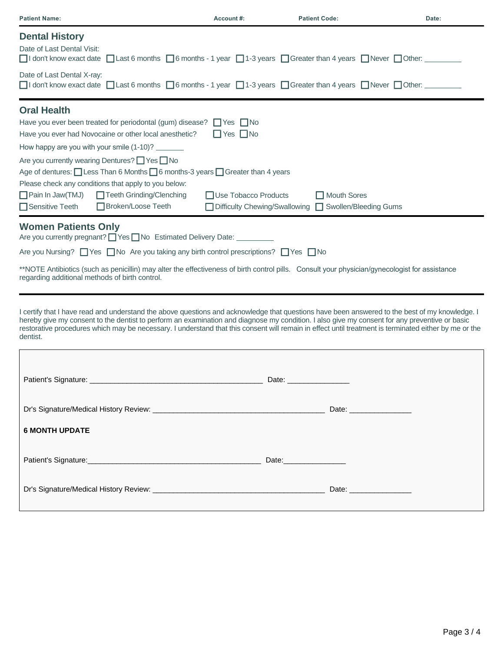| <b>Patient Name:</b>                                                                                                                                                                                                                                                                                                                                                                                                                                                                                                     | Account#:                                    | <b>Patient Code:</b>                                                   | Date: |
|--------------------------------------------------------------------------------------------------------------------------------------------------------------------------------------------------------------------------------------------------------------------------------------------------------------------------------------------------------------------------------------------------------------------------------------------------------------------------------------------------------------------------|----------------------------------------------|------------------------------------------------------------------------|-------|
| <b>Dental History</b><br>Date of Last Dental Visit:<br>$\Box$ I don't know exact date $\Box$ Last 6 months $\Box$ 6 months - 1 year $\Box$ 1-3 years $\Box$ Greater than 4 years $\Box$ Never $\Box$ Other:                                                                                                                                                                                                                                                                                                              |                                              |                                                                        |       |
| Date of Last Dental X-ray:<br>$\Box$ I don't know exact date $\Box$ Last 6 months $\Box$ 6 months - 1 year $\Box$ 1-3 years $\Box$ Greater than 4 years $\Box$ Never $\Box$ Other: $\Box$                                                                                                                                                                                                                                                                                                                                |                                              |                                                                        |       |
| <b>Oral Health</b><br>Have you ever been treated for periodontal (gum) disease? $\Box$ Yes $\Box$ No<br>Have you ever had Novocaine or other local anesthetic?<br>How happy are you with your smile (1-10)? ________<br>Are you currently wearing Dentures? Yes No<br>Age of dentures: <u>□</u> Less Than 6 Months □ 6 months-3 years □ Greater than 4 years<br>Please check any conditions that apply to you below:<br>$\Box$ Pain In Jaw(TMJ)<br>□ Teeth Grinding/Clenching<br>Sensitive Teeth<br>□ Broken/Loose Teeth | $\Box$ Yes $\Box$ No<br>Use Tobacco Products | Mouth Sores<br>□ Difficulty Chewing/Swallowing □ Swollen/Bleeding Gums |       |
| <b>Women Patients Only</b><br>Are you currently pregnant? Ves No Estimated Delivery Date: _________<br>Are you Nursing? $\Box$ Yes $\Box$ No Are you taking any birth control prescriptions? $\Box$ Yes $\Box$ No<br>**NOTE Antibiotics (such as penicillin) may alter the effectiveness of birth control pills. Consult your physician/gynecologist for assistance<br>regarding additional methods of birth control.                                                                                                    |                                              |                                                                        |       |
| I certify that I have read and understand the above questions and acknowledge that questions have been answered to the best of my knowledge. I<br>hereby give my consent to the dentist to perform an examination and diagnose my condition. I also give my consent for any preventive or basic<br>restorative procedures which may be necessary. I understand that this consent will remain in effect until treatment is terminated either by me or the<br>dentist.                                                     |                                              |                                                                        |       |
| Patient's Signature:                                                                                                                                                                                                                                                                                                                                                                                                                                                                                                     |                                              | Date:                                                                  |       |
|                                                                                                                                                                                                                                                                                                                                                                                                                                                                                                                          |                                              |                                                                        |       |
| <b>6 MONTH UPDATE</b>                                                                                                                                                                                                                                                                                                                                                                                                                                                                                                    |                                              |                                                                        |       |
|                                                                                                                                                                                                                                                                                                                                                                                                                                                                                                                          |                                              |                                                                        |       |
|                                                                                                                                                                                                                                                                                                                                                                                                                                                                                                                          |                                              |                                                                        |       |